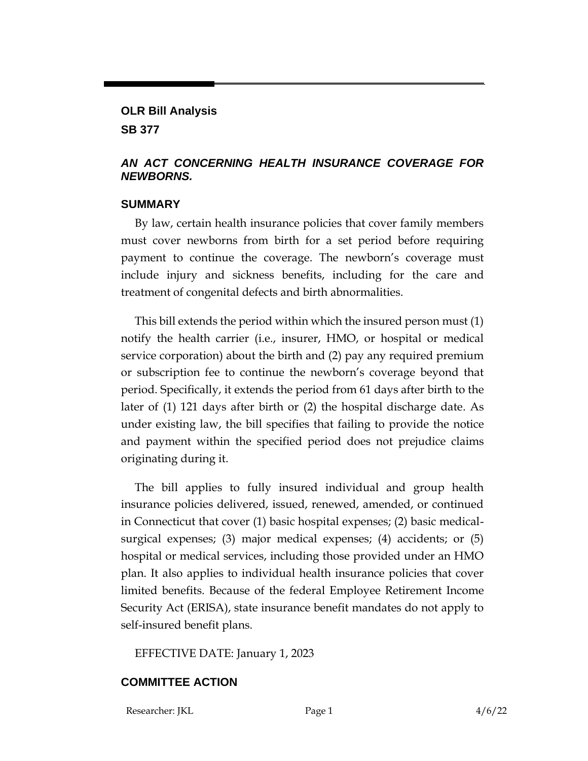## **OLR Bill Analysis**

**SB 377**

## *AN ACT CONCERNING HEALTH INSURANCE COVERAGE FOR NEWBORNS.*

## **SUMMARY**

By law, certain health insurance policies that cover family members must cover newborns from birth for a set period before requiring payment to continue the coverage. The newborn's coverage must include injury and sickness benefits, including for the care and treatment of congenital defects and birth abnormalities.

This bill extends the period within which the insured person must (1) notify the health carrier (i.e., insurer, HMO, or hospital or medical service corporation) about the birth and (2) pay any required premium or subscription fee to continue the newborn's coverage beyond that period. Specifically, it extends the period from 61 days after birth to the later of (1) 121 days after birth or (2) the hospital discharge date. As under existing law, the bill specifies that failing to provide the notice and payment within the specified period does not prejudice claims originating during it.

The bill applies to fully insured individual and group health insurance policies delivered, issued, renewed, amended, or continued in Connecticut that cover (1) basic hospital expenses; (2) basic medicalsurgical expenses; (3) major medical expenses; (4) accidents; or (5) hospital or medical services, including those provided under an HMO plan. It also applies to individual health insurance policies that cover limited benefits. Because of the federal Employee Retirement Income Security Act (ERISA), state insurance benefit mandates do not apply to self-insured benefit plans.

EFFECTIVE DATE: January 1, 2023

## **COMMITTEE ACTION**

Researcher: JKL Page 1 4/6/22